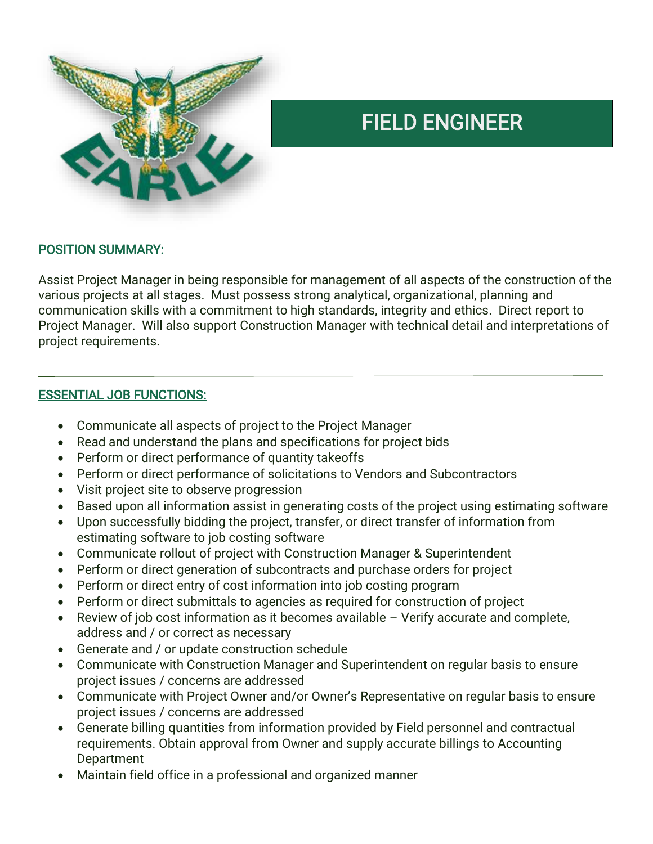

## FIELD ENGINEER

## POSITION SUMMARY:

Assist Project Manager in being responsible for management of all aspects of the construction of the various projects at all stages. Must possess strong analytical, organizational, planning and communication skills with a commitment to high standards, integrity and ethics. Direct report to Project Manager. Will also support Construction Manager with technical detail and interpretations of project requirements.

## ESSENTIAL JOB FUNCTIONS:

- Communicate all aspects of project to the Project Manager
- Read and understand the plans and specifications for project bids
- Perform or direct performance of quantity takeoffs
- Perform or direct performance of solicitations to Vendors and Subcontractors
- Visit project site to observe progression
- Based upon all information assist in generating costs of the project using estimating software
- Upon successfully bidding the project, transfer, or direct transfer of information from estimating software to job costing software
- Communicate rollout of project with Construction Manager & Superintendent
- Perform or direct generation of subcontracts and purchase orders for project
- Perform or direct entry of cost information into job costing program
- Perform or direct submittals to agencies as required for construction of project
- Review of job cost information as it becomes available Verify accurate and complete, address and / or correct as necessary
- Generate and / or update construction schedule
- Communicate with Construction Manager and Superintendent on regular basis to ensure project issues / concerns are addressed
- Communicate with Project Owner and/or Owner's Representative on regular basis to ensure project issues / concerns are addressed
- Generate billing quantities from information provided by Field personnel and contractual requirements. Obtain approval from Owner and supply accurate billings to Accounting Department
- Maintain field office in a professional and organized manner